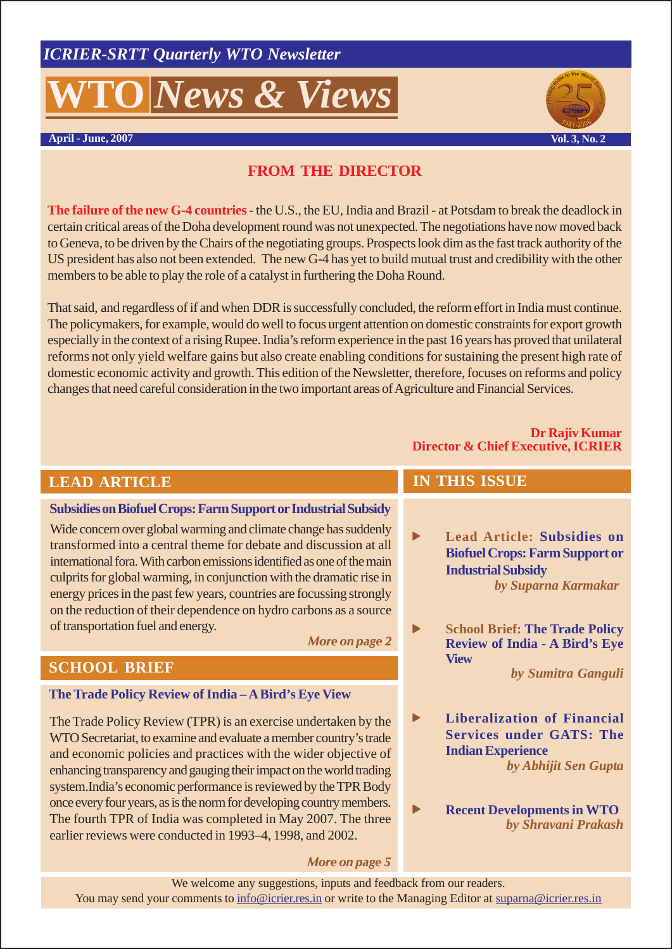# **O** *News & Views*





# **FROM THE DIRECTOR**

**The failure of the new G-4 countries**- the U.S., the EU, India and Brazil - at Potsdam to break the deadlock in certain critical areas of the Doha development round was not unexpected. The negotiations have now moved back to Geneva, to be driven by the Chairs of the negotiating groups. Prospects look dim as the fast track authority of the US president has also not been extended. The new G-4 has yet to build mutual trust and credibility with the other members to be able to play the role of a catalyst in furthering the Doha Round.

That said, and regardless of if and when DDR is successfully concluded, the reform effort in India must continue. The policymakers, for example, would do well to focus urgent attention on domestic constraints for export growth especially in the context of a rising Rupee. India's reform experience in the past 16 years has proved that unilateral reforms not only yield welfare gains but also create enabling conditions for sustaining the present high rate of domestic economic activity and growth. This edition of the Newsletter, therefore, focuses on reforms and policy changes that need careful consideration in the two important areas of Agriculture and Financial Services.

#### **Dr Rajiv Kumar Director & Chief Executive, ICRIER**

# **LEAD ARTICLE**

#### **Subsidies on Biofuel Crops: Farm Support or Industrial Subsidy**

Wide concern over global warming and climate change has suddenly transformed into a central theme for debate and discussion at all international fora. With carbon emissions identified as one of the main culprits for global warming, in conjunction with the dramatic rise in energy prices in the past few years, countries are focussing strongly on the reduction of their dependence on hydro carbons as a source of transportation fuel and energy.

#### *More on page 2*

# **SCHOOL BRIEF**

#### **The Trade Policy Review of India – A Bird's Eye View**

The Trade Policy Review (TPR) is an exercise undertaken by the WTO Secretariat, to examine and evaluate a member country's trade and economic policies and practices with the wider objective of enhancing transparency and gauging their impact on the world trading system.India's economic performance is reviewed by the TPR Body once every four years, as is the norm for developing country members. The fourth TPR of India was completed in May 2007. The three earlier reviews were conducted in 1993–4, 1998, and 2002.

#### *More on page 5*

# **IN THIS ISSUE**

- **F** Lead Article: Subsidies on **Biofuel Crops: Farm Support or Industrial Subsidy** *by Suparna Karmakar*
- **School Brief: The Trade Policy Review of India - A Bird's Eye View**

*by Sumitra Ganguli*

- **Financial Services under GATS: The Indian Experience** *by Abhijit Sen Gupta*
	- **Recent Developments in WTO** *by Shravani Prakash*

We welcome any suggestions, inputs and feedback from our readers. You may send your comments to info@icrier.res.in or write to the Managing Editor at suparna@icrier.res.in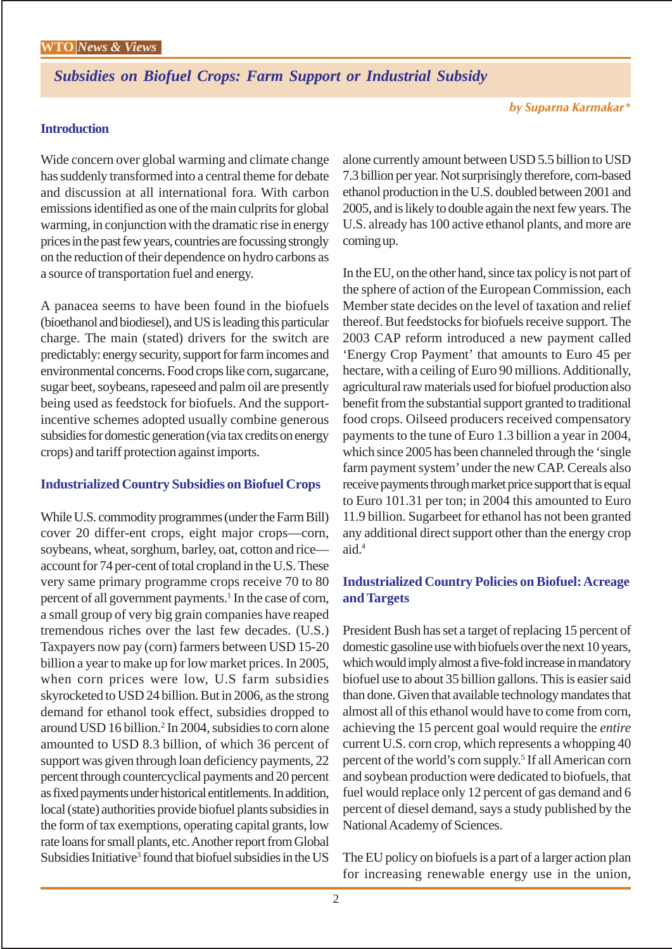*Subsidies on Biofuel Crops: Farm Support or Industrial Subsidy*

#### **Introduction**

Wide concern over global warming and climate change has suddenly transformed into a central theme for debate and discussion at all international fora. With carbon emissions identified as one of the main culprits for global warming, in conjunction with the dramatic rise in energy prices in the past few years, countries are focussing strongly on the reduction of their dependence on hydro carbons as a source of transportation fuel and energy.

A panacea seems to have been found in the biofuels (bioethanol and biodiesel), and US is leading this particular charge. The main (stated) drivers for the switch are predictably: energy security, support for farm incomes and environmental concerns. Food crops like corn, sugarcane, sugar beet, soybeans, rapeseed and palm oil are presently being used as feedstock for biofuels. And the supportincentive schemes adopted usually combine generous subsidies for domestic generation (via tax credits on energy crops) and tariff protection against imports.

#### **Industrialized Country Subsidies on Biofuel Crops**

While U.S. commodity programmes (under the Farm Bill) cover 20 differ-ent crops, eight major crops—corn, soybeans, wheat, sorghum, barley, oat, cotton and rice account for 74 per-cent of total cropland in the U.S. These very same primary programme crops receive 70 to 80 percent of all government payments.<sup>1</sup> In the case of corn, a small group of very big grain companies have reaped tremendous riches over the last few decades. (U.S.) Taxpayers now pay (corn) farmers between USD 15-20 billion a year to make up for low market prices. In 2005, when corn prices were low, U.S farm subsidies skyrocketed to USD 24 billion. But in 2006, as the strong demand for ethanol took effect, subsidies dropped to around USD 16 billion.<sup>2</sup> In 2004, subsidies to corn alone amounted to USD 8.3 billion, of which 36 percent of support was given through loan deficiency payments, 22 percent through countercyclical payments and 20 percent as fixed payments under historical entitlements. In addition, local (state) authorities provide biofuel plants subsidies in the form of tax exemptions, operating capital grants, low rate loans for small plants, etc. Another report from Global Subsidies Initiative<sup>3</sup> found that biofuel subsidies in the US

alone currently amount between USD 5.5 billion to USD 7.3 billion per year. Not surprisingly therefore, corn-based ethanol production in the U.S. doubled between 2001 and 2005, and is likely to double again the next few years. The U.S. already has 100 active ethanol plants, and more are coming up.

In the EU, on the other hand, since tax policy is not part of the sphere of action of the European Commission, each Member state decides on the level of taxation and relief thereof. But feedstocks for biofuels receive support. The 2003 CAP reform introduced a new payment called 'Energy Crop Payment' that amounts to Euro 45 per hectare, with a ceiling of Euro 90 millions. Additionally, agricultural raw materials used for biofuel production also benefit from the substantial support granted to traditional food crops. Oilseed producers received compensatory payments to the tune of Euro 1.3 billion a year in 2004, which since 2005 has been channeled through the 'single farm payment system' under the new CAP. Cereals also receive payments through market price support that is equal to Euro 101.31 per ton; in 2004 this amounted to Euro 11.9 billion. Sugarbeet for ethanol has not been granted any additional direct support other than the energy crop aid.<sup>4</sup>

#### **Industrialized Country Policies on Biofuel: Acreage and Targets**

President Bush has set a target of replacing 15 percent of domestic gasoline use with biofuels over the next 10 years, which would imply almost a five-fold increase in mandatory biofuel use to about 35 billion gallons. This is easier said than done. Given that available technology mandates that almost all of this ethanol would have to come from corn, achieving the 15 percent goal would require the *entire* current U.S. corn crop, which represents a whopping 40 percent of the world's corn supply.<sup>5</sup> If all American corn and soybean production were dedicated to biofuels, that fuel would replace only 12 percent of gas demand and 6 percent of diesel demand, says a study published by the National Academy of Sciences.

The EU policy on biofuels is a part of a larger action plan for increasing renewable energy use in the union,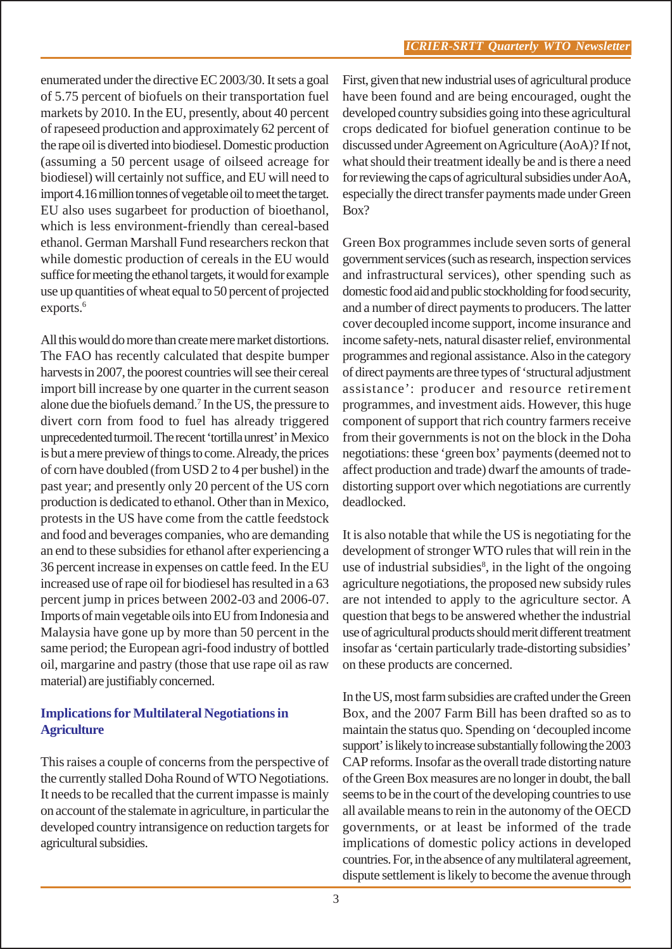enumerated under the directive EC 2003/30. It sets a goal of 5.75 percent of biofuels on their transportation fuel markets by 2010. In the EU, presently, about 40 percent of rapeseed production and approximately 62 percent of the rape oil is diverted into biodiesel. Domestic production (assuming a 50 percent usage of oilseed acreage for biodiesel) will certainly not suffice, and EU will need to import 4.16 million tonnes of vegetable oil to meet the target. EU also uses sugarbeet for production of bioethanol, which is less environment-friendly than cereal-based ethanol. German Marshall Fund researchers reckon that while domestic production of cereals in the EU would suffice for meeting the ethanol targets, it would for example use up quantities of wheat equal to 50 percent of projected exports.<sup>6</sup>

All this would do more than create mere market distortions. The FAO has recently calculated that despite bumper harvests in 2007, the poorest countries will see their cereal import bill increase by one quarter in the current season alone due the biofuels demand.7 In the US, the pressure to divert corn from food to fuel has already triggered unprecedented turmoil. The recent 'tortilla unrest' in Mexico is but a mere preview of things to come. Already, the prices of corn have doubled (from USD 2 to 4 per bushel) in the past year; and presently only 20 percent of the US corn production is dedicated to ethanol. Other than in Mexico, protests in the US have come from the cattle feedstock and food and beverages companies, who are demanding an end to these subsidies for ethanol after experiencing a 36 percent increase in expenses on cattle feed. In the EU increased use of rape oil for biodiesel has resulted in a 63 percent jump in prices between 2002-03 and 2006-07. Imports of main vegetable oils into EU from Indonesia and Malaysia have gone up by more than 50 percent in the same period; the European agri-food industry of bottled oil, margarine and pastry (those that use rape oil as raw material) are justifiably concerned.

# **Implications for Multilateral Negotiations in Agriculture**

This raises a couple of concerns from the perspective of the currently stalled Doha Round of WTO Negotiations. It needs to be recalled that the current impasse is mainly on account of the stalemate in agriculture, in particular the developed country intransigence on reduction targets for agricultural subsidies.

First, given that new industrial uses of agricultural produce have been found and are being encouraged, ought the developed country subsidies going into these agricultural crops dedicated for biofuel generation continue to be discussed under Agreement on Agriculture (AoA)? If not, what should their treatment ideally be and is there a need for reviewing the caps of agricultural subsidies under AoA, especially the direct transfer payments made under Green Box?

Green Box programmes include seven sorts of general government services (such as research, inspection services and infrastructural services), other spending such as domestic food aid and public stockholding for food security, and a number of direct payments to producers. The latter cover decoupled income support, income insurance and income safety-nets, natural disaster relief, environmental programmes and regional assistance. Also in the category of direct payments are three types of 'structural adjustment assistance': producer and resource retirement programmes, and investment aids. However, this huge component of support that rich country farmers receive from their governments is not on the block in the Doha negotiations: these 'green box' payments (deemed not to affect production and trade) dwarf the amounts of tradedistorting support over which negotiations are currently deadlocked.

It is also notable that while the US is negotiating for the development of stronger WTO rules that will rein in the use of industrial subsidies<sup>8</sup>, in the light of the ongoing agriculture negotiations, the proposed new subsidy rules are not intended to apply to the agriculture sector. A question that begs to be answered whether the industrial use of agricultural products should merit different treatment insofar as 'certain particularly trade-distorting subsidies' on these products are concerned.

In the US, most farm subsidies are crafted under the Green Box, and the 2007 Farm Bill has been drafted so as to maintain the status quo. Spending on 'decoupled income support' is likely to increase substantially following the 2003 CAP reforms. Insofar as the overall trade distorting nature of the Green Box measures are no longer in doubt, the ball seems to be in the court of the developing countries to use all available means to rein in the autonomy of the OECD governments, or at least be informed of the trade implications of domestic policy actions in developed countries. For, in the absence of any multilateral agreement, dispute settlement is likely to become the avenue through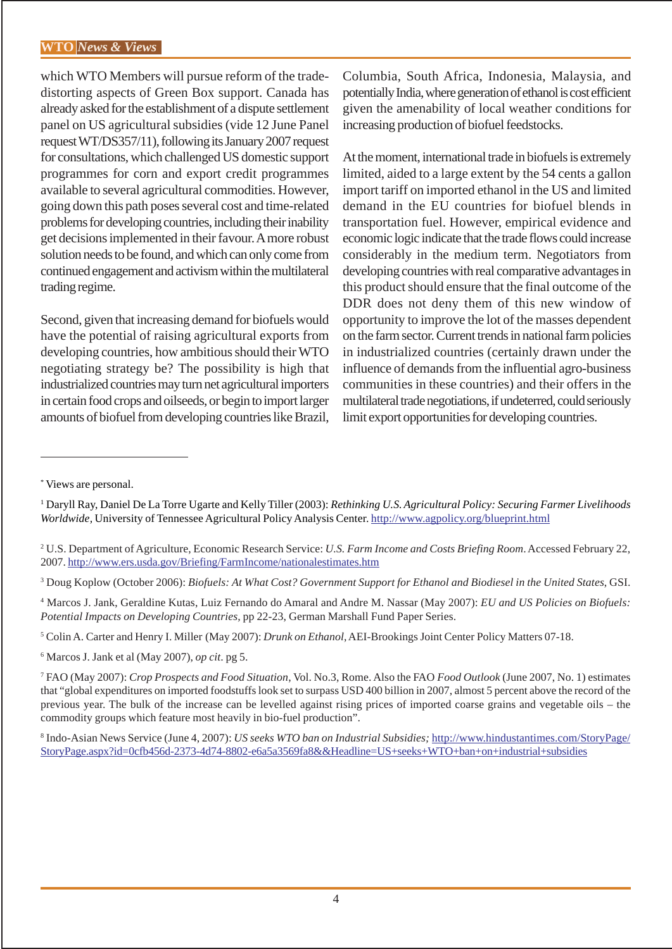which WTO Members will pursue reform of the tradedistorting aspects of Green Box support. Canada has already asked for the establishment of a dispute settlement panel on US agricultural subsidies (vide 12 June Panel request WT/DS357/11), following its January 2007 request for consultations, which challenged US domestic support programmes for corn and export credit programmes available to several agricultural commodities. However, going down this path poses several cost and time-related problems for developing countries, including their inability get decisions implemented in their favour. A more robust solution needs to be found, and which can only come from continued engagement and activism within the multilateral trading regime.

Second, given that increasing demand for biofuels would have the potential of raising agricultural exports from developing countries, how ambitious should their WTO negotiating strategy be? The possibility is high that industrialized countries may turn net agricultural importers in certain food crops and oilseeds, or begin to import larger amounts of biofuel from developing countries like Brazil,

Columbia, South Africa, Indonesia, Malaysia, and potentially India, where generation of ethanol is cost efficient given the amenability of local weather conditions for increasing production of biofuel feedstocks.

At the moment, international trade in biofuels is extremely limited, aided to a large extent by the 54 cents a gallon import tariff on imported ethanol in the US and limited demand in the EU countries for biofuel blends in transportation fuel. However, empirical evidence and economic logic indicate that the trade flows could increase considerably in the medium term. Negotiators from developing countries with real comparative advantages in this product should ensure that the final outcome of the DDR does not deny them of this new window of opportunity to improve the lot of the masses dependent on the farm sector. Current trends in national farm policies in industrialized countries (certainly drawn under the influence of demands from the influential agro-business communities in these countries) and their offers in the multilateral trade negotiations, if undeterred, could seriously limit export opportunities for developing countries.

8 Indo-Asian News Service (June 4, 2007): *US seeks WTO ban on Industrial Subsidies;* http://www.hindustantimes.com/StoryPage/ StoryPage.aspx?id=0cfb456d-2373-4d74-8802-e6a5a3569fa8&&Headline=US+seeks+WTO+ban+on+industrial+subsidies

<sup>\*</sup> Views are personal.

<sup>1</sup> Daryll Ray, Daniel De La Torre Ugarte and Kelly Tiller (2003): *Rethinking U.S. Agricultural Policy: Securing Farmer Livelihoods Worldwide,* University of Tennessee Agricultural Policy Analysis Center. http://www.agpolicy.org/blueprint.html

<sup>2</sup> U.S. Department of Agriculture, Economic Research Service: *U.S. Farm Income and Costs Briefing Room*. Accessed February 22, 2007. http://www.ers.usda.gov/Briefing/FarmIncome/nationalestimates.htm

<sup>3</sup> Doug Koplow (October 2006): *Biofuels: At What Cost? Government Support for Ethanol and Biodiesel in the United States*, GSI.

<sup>4</sup> Marcos J. Jank, Geraldine Kutas, Luiz Fernando do Amaral and Andre M. Nassar (May 2007): *EU and US Policies on Biofuels: Potential Impacts on Developing Countries,* pp 22-23, German Marshall Fund Paper Series.

<sup>5</sup> Colin A. Carter and Henry I. Miller (May 2007): *Drunk on Ethanol*, AEI-Brookings Joint Center Policy Matters 07-18.

<sup>6</sup> Marcos J. Jank et al (May 2007), *op cit*. pg 5.

<sup>7</sup> FAO (May 2007): *Crop Prospects and Food Situation*, Vol. No.3, Rome. Also the FAO *Food Outlook* (June 2007, No. 1) estimates that "global expenditures on imported foodstuffs look set to surpass USD 400 billion in 2007, almost 5 percent above the record of the previous year. The bulk of the increase can be levelled against rising prices of imported coarse grains and vegetable oils – the commodity groups which feature most heavily in bio-fuel production".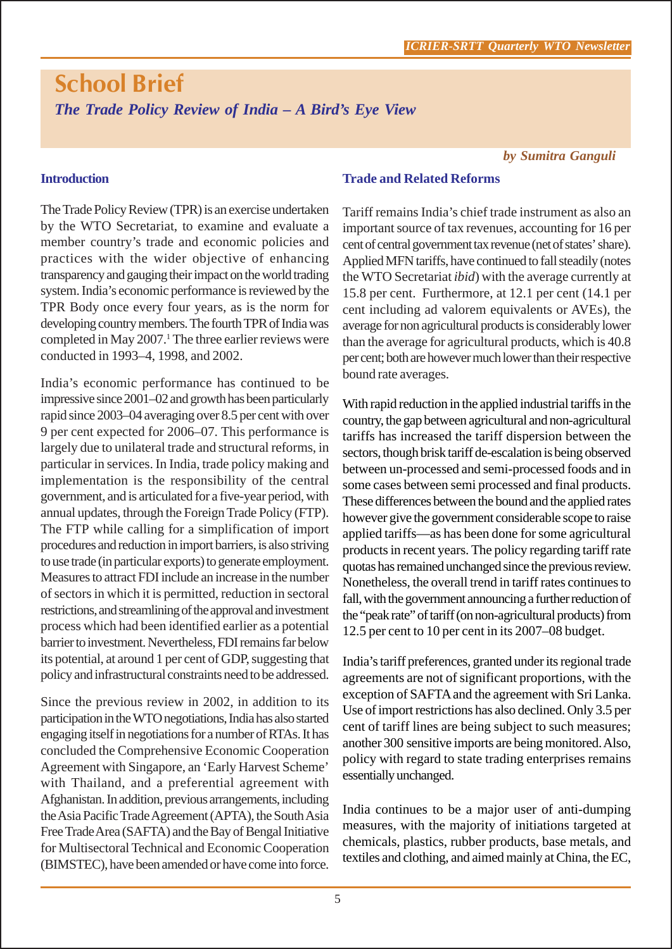# **School Brief** *The Trade Policy Review of India – A Bird's Eye View*

### *by Sumitra Ganguli*

# **Introduction**

**Trade and Related Reforms**

The Trade Policy Review (TPR) is an exercise undertaken by the WTO Secretariat, to examine and evaluate a member country's trade and economic policies and practices with the wider objective of enhancing transparency and gauging their impact on the world trading system. India's economic performance is reviewed by the TPR Body once every four years, as is the norm for developing country members. The fourth TPR of India was completed in May 2007.<sup>1</sup> The three earlier reviews were conducted in 1993–4, 1998, and 2002.

India's economic performance has continued to be impressive since 2001–02 and growth has been particularly rapid since 2003–04 averaging over 8.5 per cent with over 9 per cent expected for 2006–07. This performance is largely due to unilateral trade and structural reforms, in particular in services. In India, trade policy making and implementation is the responsibility of the central government, and is articulated for a five-year period, with annual updates, through the Foreign Trade Policy (FTP). The FTP while calling for a simplification of import procedures and reduction in import barriers, is also striving to use trade (in particular exports) to generate employment. Measures to attract FDI include an increase in the number of sectors in which it is permitted, reduction in sectoral restrictions, and streamlining of the approval and investment process which had been identified earlier as a potential barrier to investment. Nevertheless, FDI remains far below its potential, at around 1 per cent of GDP, suggesting that policy and infrastructural constraints need to be addressed.

Since the previous review in 2002, in addition to its participation in the WTO negotiations, India has also started engaging itself in negotiations for a number of RTAs. It has concluded the Comprehensive Economic Cooperation Agreement with Singapore, an 'Early Harvest Scheme' with Thailand, and a preferential agreement with Afghanistan. In addition, previous arrangements, including the Asia Pacific Trade Agreement (APTA), the South Asia Free Trade Area (SAFTA) and the Bay of Bengal Initiative for Multisectoral Technical and Economic Cooperation (BIMSTEC), have been amended or have come into force.

Tariff remains India's chief trade instrument as also an important source of tax revenues, accounting for 16 per cent of central government tax revenue (net of states' share). Applied MFN tariffs, have continued to fall steadily (notes the WTO Secretariat *ibid*) with the average currently at 15.8 per cent. Furthermore, at 12.1 per cent (14.1 per cent including ad valorem equivalents or AVEs), the average for non agricultural products is considerably lower than the average for agricultural products, which is 40.8 per cent; both are however much lower than their respective bound rate averages.

With rapid reduction in the applied industrial tariffs in the country, the gap between agricultural and non-agricultural tariffs has increased the tariff dispersion between the sectors, though brisk tariff de-escalation is being observed between un-processed and semi-processed foods and in some cases between semi processed and final products. These differences between the bound and the applied rates however give the government considerable scope to raise applied tariffs—as has been done for some agricultural products in recent years. The policy regarding tariff rate quotas has remained unchanged since the previous review. Nonetheless, the overall trend in tariff rates continues to fall, with the government announcing a further reduction of the "peak rate" of tariff (on non-agricultural products) from 12.5 per cent to 10 per cent in its 2007–08 budget.

India's tariff preferences, granted under its regional trade agreements are not of significant proportions, with the exception of SAFTA and the agreement with Sri Lanka. Use of import restrictions has also declined. Only 3.5 per cent of tariff lines are being subject to such measures; another 300 sensitive imports are being monitored. Also, policy with regard to state trading enterprises remains essentially unchanged.

India continues to be a major user of anti-dumping measures, with the majority of initiations targeted at chemicals, plastics, rubber products, base metals, and textiles and clothing, and aimed mainly at China, the EC,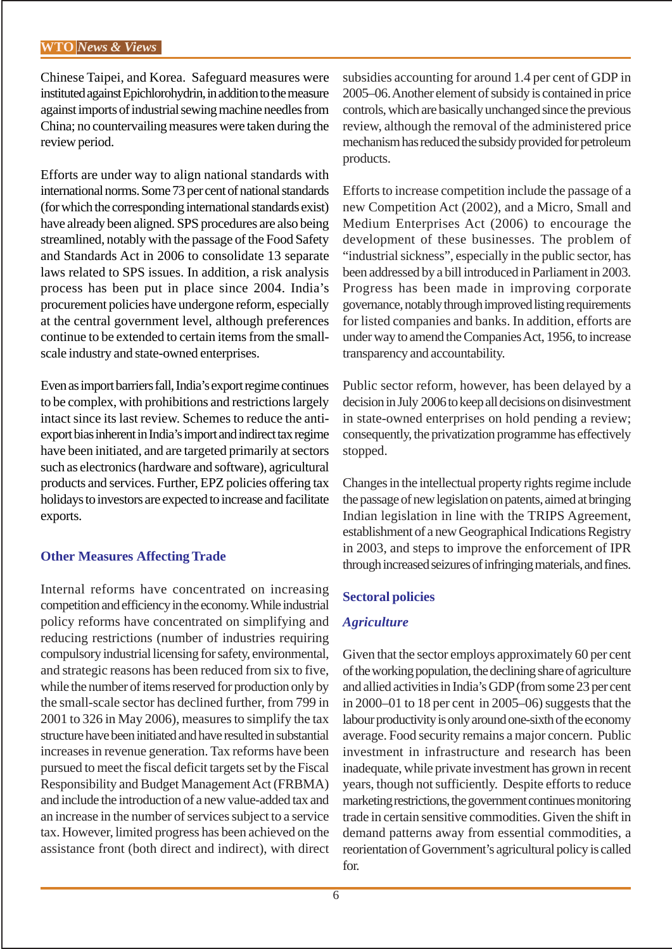Chinese Taipei, and Korea. Safeguard measures were instituted against Epichlorohydrin, in addition to the measure against imports of industrial sewing machine needles from China; no countervailing measures were taken during the review period.

Efforts are under way to align national standards with international norms. Some 73 per cent of national standards (for which the corresponding international standards exist) have already been aligned. SPS procedures are also being streamlined, notably with the passage of the Food Safety and Standards Act in 2006 to consolidate 13 separate laws related to SPS issues. In addition, a risk analysis process has been put in place since 2004. India's procurement policies have undergone reform, especially at the central government level, although preferences continue to be extended to certain items from the smallscale industry and state-owned enterprises.

Even as import barriers fall, India's export regime continues to be complex, with prohibitions and restrictions largely intact since its last review. Schemes to reduce the antiexport bias inherent in India's import and indirect tax regime have been initiated, and are targeted primarily at sectors such as electronics (hardware and software), agricultural products and services. Further, EPZ policies offering tax holidays to investors are expected to increase and facilitate exports.

#### **Other Measures Affecting Trade**

Internal reforms have concentrated on increasing competition and efficiency in the economy. While industrial policy reforms have concentrated on simplifying and reducing restrictions (number of industries requiring compulsory industrial licensing for safety, environmental, and strategic reasons has been reduced from six to five, while the number of items reserved for production only by the small-scale sector has declined further, from 799 in 2001 to 326 in May 2006), measures to simplify the tax structure have been initiated and have resulted in substantial increases in revenue generation. Tax reforms have been pursued to meet the fiscal deficit targets set by the Fiscal Responsibility and Budget Management Act (FRBMA) and include the introduction of a new value-added tax and an increase in the number of services subject to a service tax. However, limited progress has been achieved on the assistance front (both direct and indirect), with direct subsidies accounting for around 1.4 per cent of GDP in 2005–06. Another element of subsidy is contained in price controls, which are basically unchanged since the previous review, although the removal of the administered price mechanism has reduced the subsidy provided for petroleum products.

Efforts to increase competition include the passage of a new Competition Act (2002), and a Micro, Small and Medium Enterprises Act (2006) to encourage the development of these businesses. The problem of "industrial sickness", especially in the public sector, has been addressed by a bill introduced in Parliament in 2003. Progress has been made in improving corporate governance, notably through improved listing requirements for listed companies and banks. In addition, efforts are under way to amend the Companies Act, 1956, to increase transparency and accountability.

Public sector reform, however, has been delayed by a decision in July 2006 to keep all decisions on disinvestment in state-owned enterprises on hold pending a review; consequently, the privatization programme has effectively stopped.

Changes in the intellectual property rights regime include the passage of new legislation on patents, aimed at bringing Indian legislation in line with the TRIPS Agreement, establishment of a new Geographical Indications Registry in 2003, and steps to improve the enforcement of IPR through increased seizures of infringing materials, and fines.

# **Sectoral policies**

# *Agriculture*

Given that the sector employs approximately 60 per cent of the working population, the declining share of agriculture and allied activities in India's GDP (from some 23 per cent in 2000–01 to 18 per cent in 2005–06) suggests that the labour productivity is only around one-sixth of the economy average. Food security remains a major concern. Public investment in infrastructure and research has been inadequate, while private investment has grown in recent years, though not sufficiently. Despite efforts to reduce marketing restrictions, the government continues monitoring trade in certain sensitive commodities. Given the shift in demand patterns away from essential commodities, a reorientation of Government's agricultural policy is called for.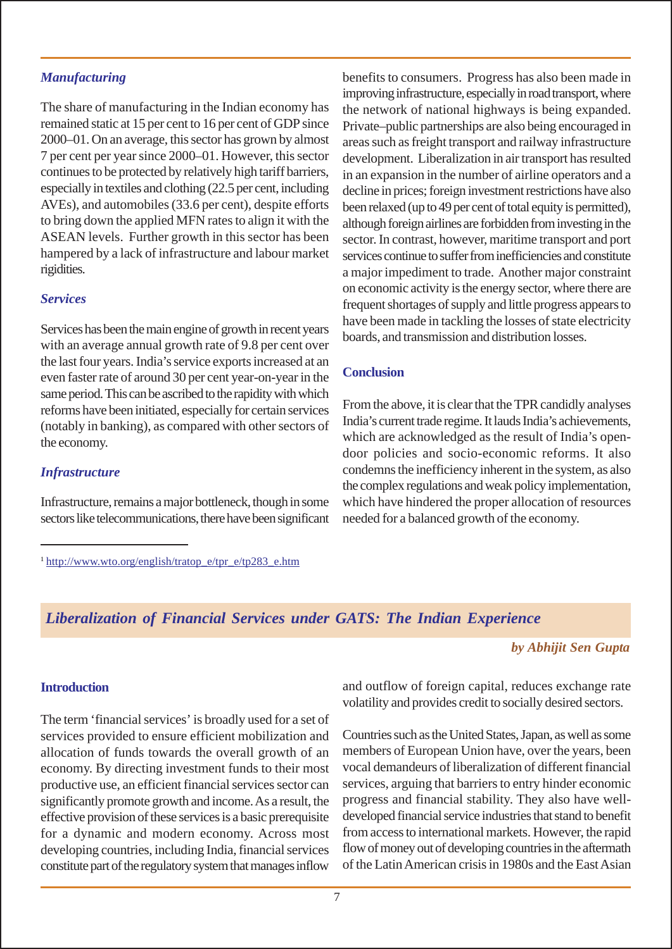#### *Manufacturing*

The share of manufacturing in the Indian economy has remained static at 15 per cent to 16 per cent of GDP since 2000–01. On an average, this sector has grown by almost 7 per cent per year since 2000–01. However, this sector continues to be protected by relatively high tariff barriers, especially in textiles and clothing (22.5 per cent, including AVEs), and automobiles (33.6 per cent), despite efforts to bring down the applied MFN rates to align it with the ASEAN levels. Further growth in this sector has been hampered by a lack of infrastructure and labour market rigidities.

#### *Services*

Services has been the main engine of growth in recent years with an average annual growth rate of 9.8 per cent over the last four years. India's service exports increased at an even faster rate of around 30 per cent year-on-year in the same period. This can be ascribed to the rapidity with which reforms have been initiated, especially for certain services (notably in banking), as compared with other sectors of the economy.

#### *Infrastructure*

Infrastructure, remains a major bottleneck, though in some sectors like telecommunications, there have been significant benefits to consumers. Progress has also been made in improving infrastructure, especially in road transport, where the network of national highways is being expanded. Private–public partnerships are also being encouraged in areas such as freight transport and railway infrastructure development. Liberalization in air transport has resulted in an expansion in the number of airline operators and a decline in prices; foreign investment restrictions have also been relaxed (up to 49 per cent of total equity is permitted), although foreign airlines are forbidden from investing in the sector. In contrast, however, maritime transport and port services continue to suffer from inefficiencies and constitute a major impediment to trade. Another major constraint on economic activity is the energy sector, where there are frequent shortages of supply and little progress appears to have been made in tackling the losses of state electricity boards, and transmission and distribution losses.

#### **Conclusion**

From the above, it is clear that the TPR candidly analyses India's current trade regime. It lauds India's achievements, which are acknowledged as the result of India's opendoor policies and socio-economic reforms. It also condemns the inefficiency inherent in the system, as also the complex regulations and weak policy implementation, which have hindered the proper allocation of resources needed for a balanced growth of the economy.

# *Liberalization of Financial Services under GATS: The Indian Experience*

*by Abhijit Sen Gupta*

#### **Introduction**

The term 'financial services' is broadly used for a set of services provided to ensure efficient mobilization and allocation of funds towards the overall growth of an economy. By directing investment funds to their most productive use, an efficient financial services sector can significantly promote growth and income. As a result, the effective provision of these services is a basic prerequisite for a dynamic and modern economy. Across most developing countries, including India, financial services constitute part of the regulatory system that manages inflow

and outflow of foreign capital, reduces exchange rate volatility and provides credit to socially desired sectors.

Countries such as the United States, Japan, as well as some members of European Union have, over the years, been vocal demandeurs of liberalization of different financial services, arguing that barriers to entry hinder economic progress and financial stability. They also have welldeveloped financial service industries that stand to benefit from access to international markets. However, the rapid flow of money out of developing countries in the aftermath of the Latin American crisis in 1980s and the East Asian

 $1 \frac{\text{http://www.wto.org/english/tratop e/tpr_e/tp283e.htm}}{$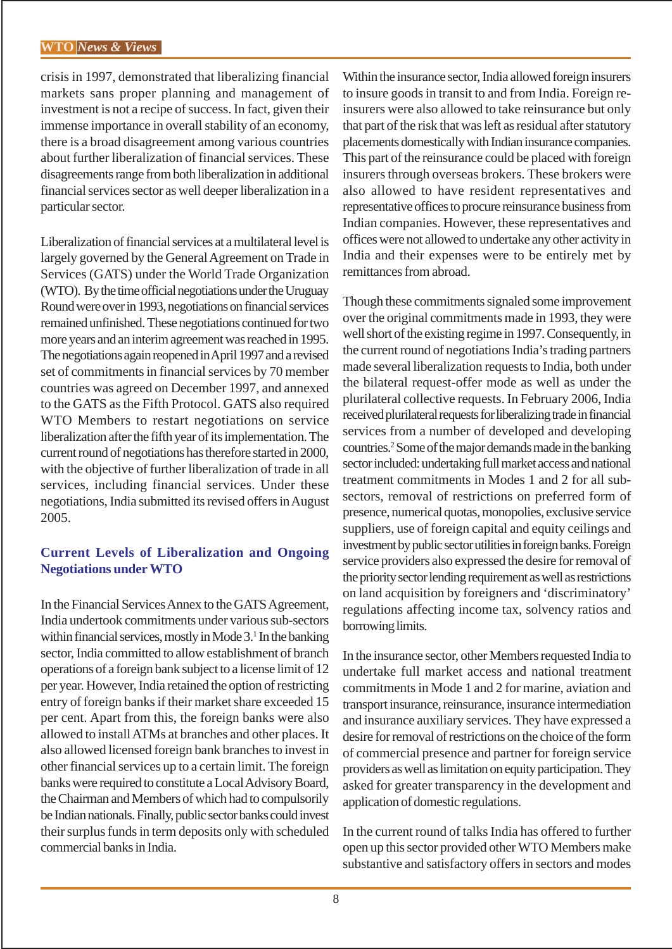crisis in 1997, demonstrated that liberalizing financial markets sans proper planning and management of investment is not a recipe of success. In fact, given their immense importance in overall stability of an economy, there is a broad disagreement among various countries about further liberalization of financial services. These disagreements range from both liberalization in additional financial services sector as well deeper liberalization in a particular sector.

Liberalization of financial services at a multilateral level is largely governed by the General Agreement on Trade in Services (GATS) under the World Trade Organization (WTO). By the time official negotiations under the Uruguay Round were over in 1993, negotiations on financial services remained unfinished. These negotiations continued for two more years and an interim agreement was reached in 1995. The negotiations again reopened in April 1997 and a revised set of commitments in financial services by 70 member countries was agreed on December 1997, and annexed to the GATS as the Fifth Protocol. GATS also required WTO Members to restart negotiations on service liberalization after the fifth year of its implementation. The current round of negotiations has therefore started in 2000, with the objective of further liberalization of trade in all services, including financial services. Under these negotiations, India submitted its revised offers in August 2005.

# **Current Levels of Liberalization and Ongoing Negotiations under WTO**

In the Financial Services Annex to the GATS Agreement, India undertook commitments under various sub-sectors within financial services, mostly in Mode 3.<sup>1</sup> In the banking sector, India committed to allow establishment of branch operations of a foreign bank subject to a license limit of 12 per year. However, India retained the option of restricting entry of foreign banks if their market share exceeded 15 per cent. Apart from this, the foreign banks were also allowed to install ATMs at branches and other places. It also allowed licensed foreign bank branches to invest in other financial services up to a certain limit. The foreign banks were required to constitute a Local Advisory Board, the Chairman and Members of which had to compulsorily be Indian nationals. Finally, public sector banks could invest their surplus funds in term deposits only with scheduled commercial banks in India.

Within the insurance sector, India allowed foreign insurers to insure goods in transit to and from India. Foreign reinsurers were also allowed to take reinsurance but only that part of the risk that was left as residual after statutory placements domestically with Indian insurance companies. This part of the reinsurance could be placed with foreign insurers through overseas brokers. These brokers were also allowed to have resident representatives and representative offices to procure reinsurance business from Indian companies. However, these representatives and offices were not allowed to undertake any other activity in India and their expenses were to be entirely met by remittances from abroad.

Though these commitments signaled some improvement over the original commitments made in 1993, they were well short of the existing regime in 1997. Consequently, in the current round of negotiations India's trading partners made several liberalization requests to India, both under the bilateral request-offer mode as well as under the plurilateral collective requests. In February 2006, India received plurilateral requests for liberalizing trade in financial services from a number of developed and developing countries.2 Some of the major demands made in the banking sector included: undertaking full market access and national treatment commitments in Modes 1 and 2 for all subsectors, removal of restrictions on preferred form of presence, numerical quotas, monopolies, exclusive service suppliers, use of foreign capital and equity ceilings and investment by public sector utilities in foreign banks. Foreign service providers also expressed the desire for removal of the priority sector lending requirement as well as restrictions on land acquisition by foreigners and 'discriminatory' regulations affecting income tax, solvency ratios and borrowing limits.

In the insurance sector, other Members requested India to undertake full market access and national treatment commitments in Mode 1 and 2 for marine, aviation and transport insurance, reinsurance, insurance intermediation and insurance auxiliary services. They have expressed a desire for removal of restrictions on the choice of the form of commercial presence and partner for foreign service providers as well as limitation on equity participation. They asked for greater transparency in the development and application of domestic regulations.

In the current round of talks India has offered to further open up this sector provided other WTO Members make substantive and satisfactory offers in sectors and modes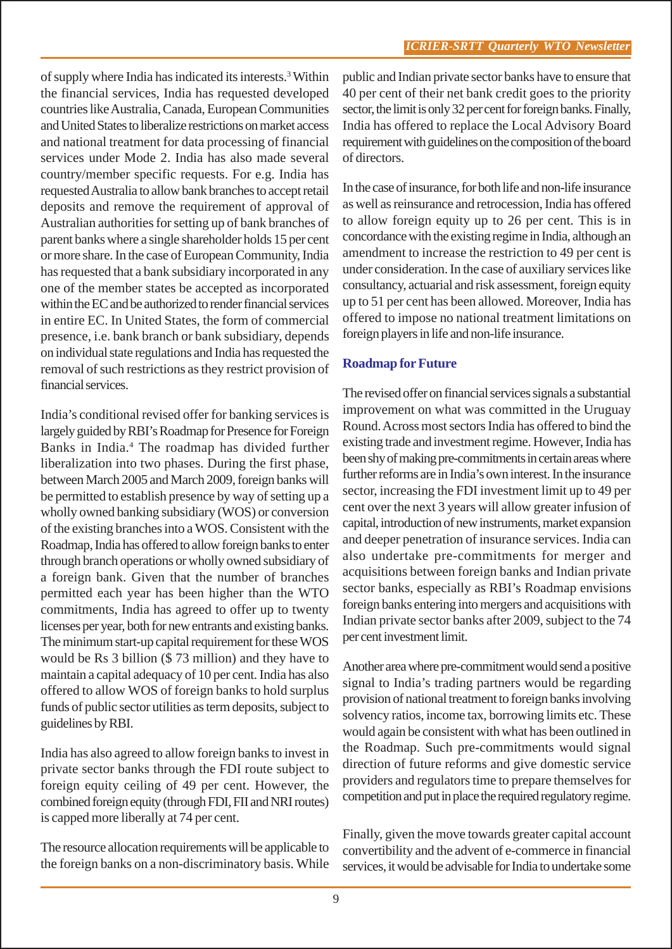of supply where India has indicated its interests.<sup>3</sup> Within the financial services, India has requested developed countries like Australia, Canada, European Communities and United States to liberalize restrictions on market access and national treatment for data processing of financial services under Mode 2. India has also made several country/member specific requests. For e.g. India has requested Australia to allow bank branches to accept retail deposits and remove the requirement of approval of Australian authorities for setting up of bank branches of parent banks where a single shareholder holds 15 per cent or more share. In the case of European Community, India has requested that a bank subsidiary incorporated in any one of the member states be accepted as incorporated within the EC and be authorized to render financial services in entire EC. In United States, the form of commercial presence, i.e. bank branch or bank subsidiary, depends on individual state regulations and India has requested the removal of such restrictions as they restrict provision of financial services.

India's conditional revised offer for banking services is largely guided by RBI's Roadmap for Presence for Foreign Banks in India.4 The roadmap has divided further liberalization into two phases. During the first phase, between March 2005 and March 2009, foreign banks will be permitted to establish presence by way of setting up a wholly owned banking subsidiary (WOS) or conversion of the existing branches into a WOS. Consistent with the Roadmap, India has offered to allow foreign banks to enter through branch operations or wholly owned subsidiary of a foreign bank. Given that the number of branches permitted each year has been higher than the WTO commitments, India has agreed to offer up to twenty licenses per year, both for new entrants and existing banks. The minimum start-up capital requirement for these WOS would be Rs 3 billion (\$ 73 million) and they have to maintain a capital adequacy of 10 per cent. India has also offered to allow WOS of foreign banks to hold surplus funds of public sector utilities as term deposits, subject to guidelines by RBI.

India has also agreed to allow foreign banks to invest in private sector banks through the FDI route subject to foreign equity ceiling of 49 per cent. However, the combined foreign equity (through FDI, FII and NRI routes) is capped more liberally at 74 per cent.

The resource allocation requirements will be applicable to the foreign banks on a non-discriminatory basis. While

public and Indian private sector banks have to ensure that 40 per cent of their net bank credit goes to the priority sector, the limit is only 32 per cent for foreign banks. Finally, India has offered to replace the Local Advisory Board requirement with guidelines on the composition of the board of directors.

In the case of insurance, for both life and non-life insurance as well as reinsurance and retrocession, India has offered to allow foreign equity up to 26 per cent. This is in concordance with the existing regime in India, although an amendment to increase the restriction to 49 per cent is under consideration. In the case of auxiliary services like consultancy, actuarial and risk assessment, foreign equity up to 51 per cent has been allowed. Moreover, India has offered to impose no national treatment limitations on foreign players in life and non-life insurance.

#### **Roadmap for Future**

The revised offer on financial services signals a substantial improvement on what was committed in the Uruguay Round. Across most sectors India has offered to bind the existing trade and investment regime. However, India has been shy of making pre-commitments in certain areas where further reforms are in India's own interest. In the insurance sector, increasing the FDI investment limit up to 49 per cent over the next 3 years will allow greater infusion of capital, introduction of new instruments, market expansion and deeper penetration of insurance services. India can also undertake pre-commitments for merger and acquisitions between foreign banks and Indian private sector banks, especially as RBI's Roadmap envisions foreign banks entering into mergers and acquisitions with Indian private sector banks after 2009, subject to the 74 per cent investment limit.

Another area where pre-commitment would send a positive signal to India's trading partners would be regarding provision of national treatment to foreign banks involving solvency ratios, income tax, borrowing limits etc. These would again be consistent with what has been outlined in the Roadmap. Such pre-commitments would signal direction of future reforms and give domestic service providers and regulators time to prepare themselves for competition and put in place the required regulatory regime.

Finally, given the move towards greater capital account convertibility and the advent of e-commerce in financial services, it would be advisable for India to undertake some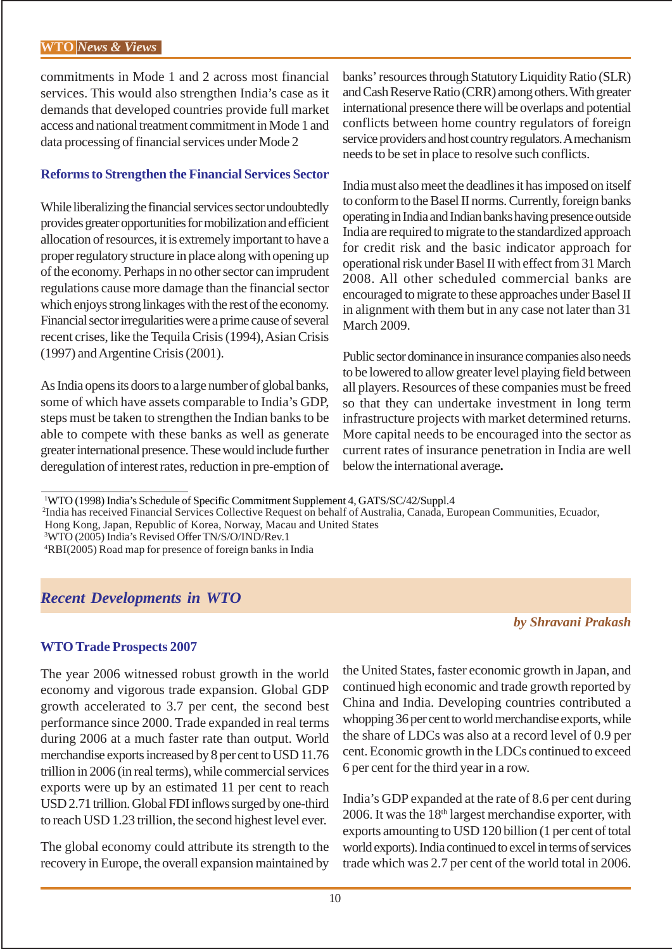commitments in Mode 1 and 2 across most financial services. This would also strengthen India's case as it demands that developed countries provide full market access and national treatment commitment in Mode 1 and data processing of financial services under Mode 2

#### **Reforms to Strengthen the Financial Services Sector**

While liberalizing the financial services sector undoubtedly provides greater opportunities for mobilization and efficient allocation of resources, it is extremely important to have a proper regulatory structure in place along with opening up of the economy. Perhaps in no other sector can imprudent regulations cause more damage than the financial sector which enjoys strong linkages with the rest of the economy. Financial sector irregularities were a prime cause of several recent crises, like the Tequila Crisis (1994), Asian Crisis (1997) and Argentine Crisis (2001).

As India opens its doors to a large number of global banks, some of which have assets comparable to India's GDP, steps must be taken to strengthen the Indian banks to be able to compete with these banks as well as generate greater international presence. These would include further deregulation of interest rates, reduction in pre-emption of banks' resources through Statutory Liquidity Ratio (SLR) and Cash Reserve Ratio (CRR) among others. With greater international presence there will be overlaps and potential conflicts between home country regulators of foreign service providers and host country regulators. A mechanism needs to be set in place to resolve such conflicts.

India must also meet the deadlines it has imposed on itself to conform to the Basel II norms. Currently, foreign banks operating in India and Indian banks having presence outside India are required to migrate to the standardized approach for credit risk and the basic indicator approach for operational risk under Basel II with effect from 31 March 2008. All other scheduled commercial banks are encouraged to migrate to these approaches under Basel II in alignment with them but in any case not later than 31 March 2009.

Public sector dominance in insurance companies also needs to be lowered to allow greater level playing field between all players. Resources of these companies must be freed so that they can undertake investment in long term infrastructure projects with market determined returns. More capital needs to be encouraged into the sector as current rates of insurance penetration in India are well below the international average**.**

2 India has received Financial Services Collective Request on behalf of Australia, Canada, European Communities, Ecuador,

Hong Kong, Japan, Republic of Korea, Norway, Macau and United States

3 WTO (2005) India's Revised Offer TN/S/O/IND/Rev.1

4 RBI(2005) Road map for presence of foreign banks in India

# *Recent Developments in WTO*

#### **WTO Trade Prospects 2007**

The year 2006 witnessed robust growth in the world economy and vigorous trade expansion. Global GDP growth accelerated to 3.7 per cent, the second best performance since 2000. Trade expanded in real terms during 2006 at a much faster rate than output. World merchandise exports increased by 8 per cent to USD 11.76 trillion in 2006 (in real terms), while commercial services exports were up by an estimated 11 per cent to reach USD 2.71 trillion. Global FDI inflows surged by one-third to reach USD 1.23 trillion, the second highest level ever.

The global economy could attribute its strength to the recovery in Europe, the overall expansion maintained by the United States, faster economic growth in Japan, and continued high economic and trade growth reported by China and India. Developing countries contributed a whopping 36 per cent to world merchandise exports, while the share of LDCs was also at a record level of 0.9 per cent. Economic growth in the LDCs continued to exceed 6 per cent for the third year in a row.

India's GDP expanded at the rate of 8.6 per cent during 2006. It was the  $18<sup>th</sup>$  largest merchandise exporter, with exports amounting to USD 120 billion (1 per cent of total world exports). India continued to excel in terms of services trade which was 2.7 per cent of the world total in 2006.

*by Shravani Prakash*

<sup>1</sup> WTO (1998) India's Schedule of Specific Commitment Supplement 4, GATS/SC/42/Suppl.4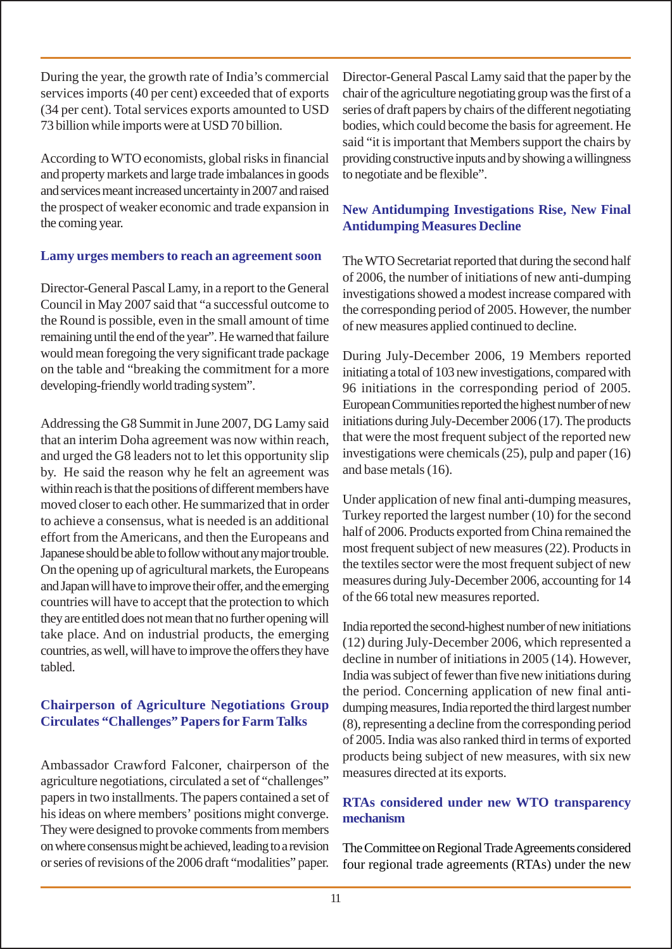During the year, the growth rate of India's commercial services imports (40 per cent) exceeded that of exports (34 per cent). Total services exports amounted to USD 73 billion while imports were at USD 70 billion.

According to WTO economists, global risks in financial and property markets and large trade imbalances in goods and services meant increased uncertainty in 2007 and raised the prospect of weaker economic and trade expansion in the coming year.

#### **Lamy urges members to reach an agreement soon**

Director-General Pascal Lamy, in a report to the General Council in May 2007 said that "a successful outcome to the Round is possible, even in the small amount of time remaining until the end of the year". He warned that failure would mean foregoing the very significant trade package on the table and "breaking the commitment for a more developing-friendly world trading system".

Addressing the G8 Summit in June 2007, DG Lamy said that an interim Doha agreement was now within reach, and urged the G8 leaders not to let this opportunity slip by. He said the reason why he felt an agreement was within reach is that the positions of different members have moved closer to each other. He summarized that in order to achieve a consensus, what is needed is an additional effort from the Americans, and then the Europeans and Japanese should be able to follow without any major trouble. On the opening up of agricultural markets, the Europeans and Japan will have to improve their offer, and the emerging countries will have to accept that the protection to which they are entitled does not mean that no further opening will take place. And on industrial products, the emerging countries, as well, will have to improve the offers they have tabled.

# **Chairperson of Agriculture Negotiations Group Circulates "Challenges" Papers for Farm Talks**

Ambassador Crawford Falconer, chairperson of the agriculture negotiations, circulated a set of "challenges" papers in two installments. The papers contained a set of his ideas on where members' positions might converge. They were designed to provoke comments from members on where consensus might be achieved, leading to a revision or series of revisions of the 2006 draft "modalities" paper.

Director-General Pascal Lamy said that the paper by the chair of the agriculture negotiating group was the first of a series of draft papers by chairs of the different negotiating bodies, which could become the basis for agreement. He said "it is important that Members support the chairs by providing constructive inputs and by showing a willingness to negotiate and be flexible".

# **New Antidumping Investigations Rise, New Final Antidumping Measures Decline**

The WTO Secretariat reported that during the second half of 2006, the number of initiations of new anti-dumping investigations showed a modest increase compared with the corresponding period of 2005. However, the number of new measures applied continued to decline.

During July-December 2006, 19 Members reported initiating a total of 103 new investigations, compared with 96 initiations in the corresponding period of 2005. European Communities reported the highest number of new initiations during July-December 2006 (17). The products that were the most frequent subject of the reported new investigations were chemicals (25), pulp and paper (16) and base metals (16).

Under application of new final anti-dumping measures, Turkey reported the largest number (10) for the second half of 2006. Products exported from China remained the most frequent subject of new measures (22). Products in the textiles sector were the most frequent subject of new measures during July-December 2006, accounting for 14 of the 66 total new measures reported.

India reported the second-highest number of new initiations (12) during July-December 2006, which represented a decline in number of initiations in 2005 (14). However, India was subject of fewer than five new initiations during the period. Concerning application of new final antidumping measures, India reported the third largest number (8), representing a decline from the corresponding period of 2005. India was also ranked third in terms of exported products being subject of new measures, with six new measures directed at its exports.

# **RTAs considered under new WTO transparency mechanism**

The Committee on Regional Trade Agreements considered four regional trade agreements (RTAs) under the new